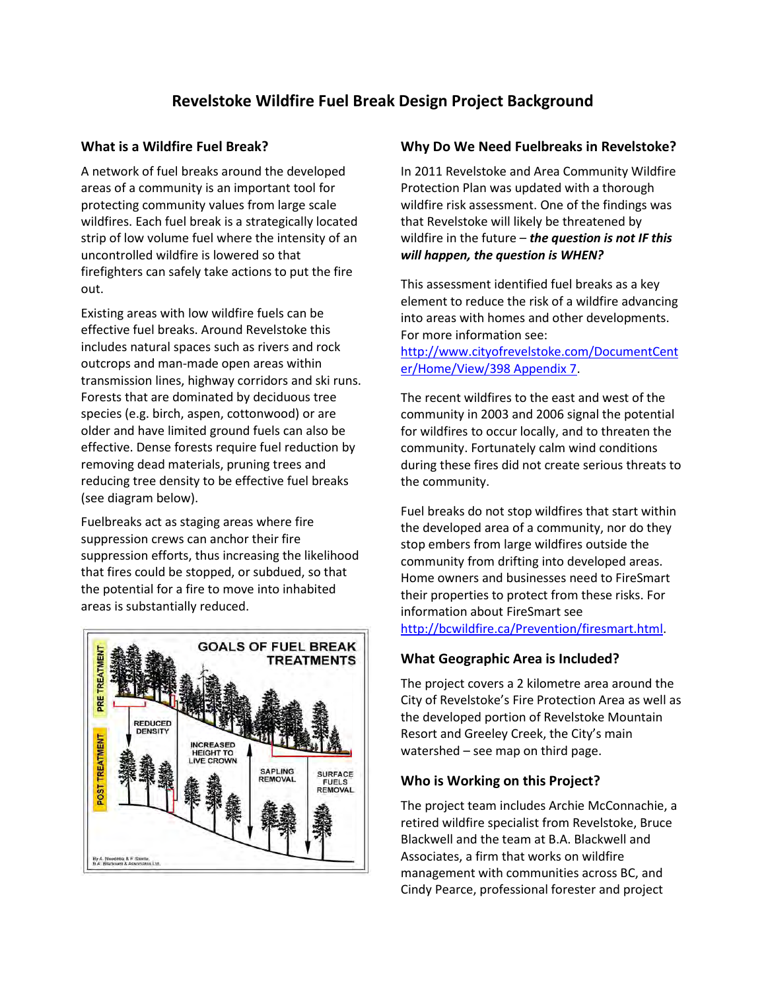## **Revelstoke Wildfire Fuel Break Design Project Background**

#### **What is a Wildfire Fuel Break?**

A network of fuel breaks around the developed areas of a community is an important tool for protecting community values from large scale wildfires. Each fuel break is a strategically located strip of low volume fuel where the intensity of an uncontrolled wildfire is lowered so that firefighters can safely take actions to put the fire out.

Existing areas with low wildfire fuels can be effective fuel breaks. Around Revelstoke this includes natural spaces such as rivers and rock outcrops and man-made open areas within transmission lines, highway corridors and ski runs. Forests that are dominated by deciduous tree species (e.g. birch, aspen, cottonwood) or are older and have limited ground fuels can also be effective. Dense forests require fuel reduction by removing dead materials, pruning trees and reducing tree density to be effective fuel breaks (see diagram below).

Fuelbreaks act as staging areas where fire suppression crews can anchor their fire suppression efforts, thus increasing the likelihood that fires could be stopped, or subdued, so that the potential for a fire to move into inhabited areas is substantially reduced.



#### **Why Do We Need Fuelbreaks in Revelstoke?**

In 2011 Revelstoke and Area Community Wildfire Protection Plan was updated with a thorough wildfire risk assessment. One of the findings was that Revelstoke will likely be threatened by wildfire in the future – *the question is not IF this will happen, the question is WHEN?* 

This assessment identified fuel breaks as a key element to reduce the risk of a wildfire advancing into areas with homes and other developments. For more information see:

[http://www.cityofrevelstoke.com/DocumentCent](http://www.cityofrevelstoke.com/DocumentCenter/Home/View/398%20Appendix%207) [er/Home/View/398 Appendix 7.](http://www.cityofrevelstoke.com/DocumentCenter/Home/View/398%20Appendix%207)

The recent wildfires to the east and west of the community in 2003 and 2006 signal the potential for wildfires to occur locally, and to threaten the community. Fortunately calm wind conditions during these fires did not create serious threats to the community.

Fuel breaks do not stop wildfires that start within the developed area of a community, nor do they stop embers from large wildfires outside the community from drifting into developed areas. Home owners and businesses need to FireSmart their properties to protect from these risks. For information about FireSmart see [http://bcwildfire.ca/Prevention/firesmart.html](http://bcwildfire.ca/Prevention/firesmart.htm).

## **What Geographic Area is Included?**

The project covers a 2 kilometre area around the City of Revelstoke's Fire Protection Area as well as the developed portion of Revelstoke Mountain Resort and Greeley Creek, the City's main watershed – see map on third page.

## **Who is Working on this Project?**

The project team includes Archie McConnachie, a retired wildfire specialist from Revelstoke, Bruce Blackwell and the team at B.A. Blackwell and Associates, a firm that works on wildfire management with communities across BC, and Cindy Pearce, professional forester and project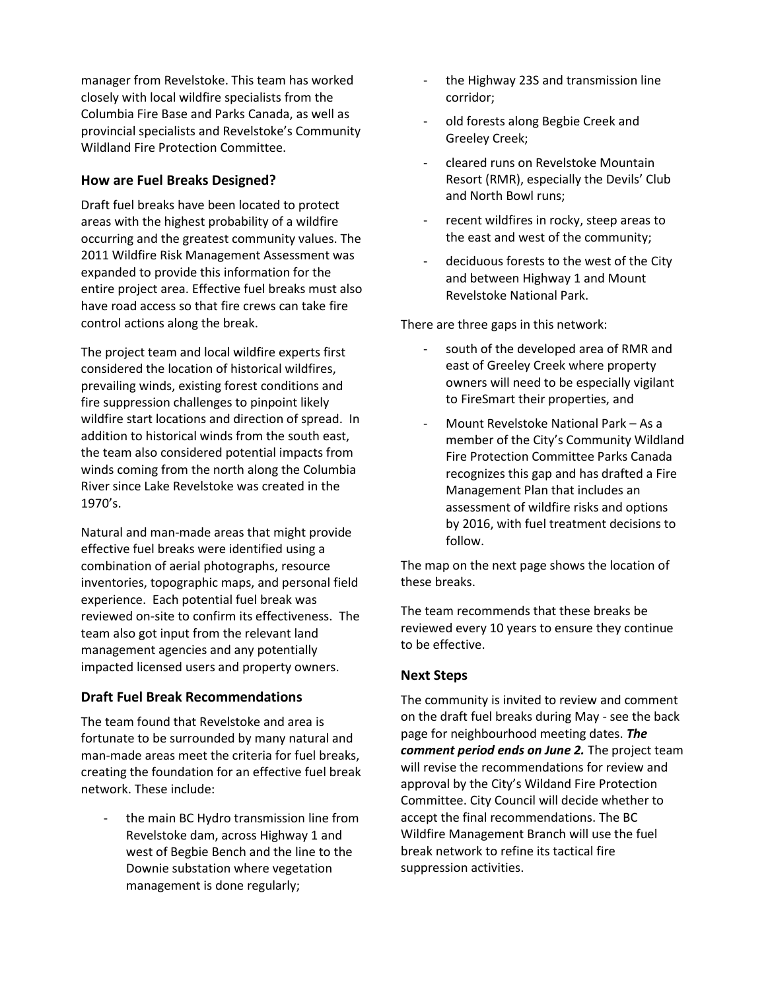manager from Revelstoke. This team has worked closely with local wildfire specialists from the Columbia Fire Base and Parks Canada, as well as provincial specialists and Revelstoke's Community Wildland Fire Protection Committee.

#### **How are Fuel Breaks Designed?**

Draft fuel breaks have been located to protect areas with the highest probability of a wildfire occurring and the greatest community values. The 2011 Wildfire Risk Management Assessment was expanded to provide this information for the entire project area. Effective fuel breaks must also have road access so that fire crews can take fire control actions along the break.

The project team and local wildfire experts first considered the location of historical wildfires, prevailing winds, existing forest conditions and fire suppression challenges to pinpoint likely wildfire start locations and direction of spread. In addition to historical winds from the south east, the team also considered potential impacts from winds coming from the north along the Columbia River since Lake Revelstoke was created in the 1970's.

Natural and man-made areas that might provide effective fuel breaks were identified using a combination of aerial photographs, resource inventories, topographic maps, and personal field experience. Each potential fuel break was reviewed on-site to confirm its effectiveness. The team also got input from the relevant land management agencies and any potentially impacted licensed users and property owners.

#### **Draft Fuel Break Recommendations**

The team found that Revelstoke and area is fortunate to be surrounded by many natural and man-made areas meet the criteria for fuel breaks, creating the foundation for an effective fuel break network. These include:

the main BC Hydro transmission line from Revelstoke dam, across Highway 1 and west of Begbie Bench and the line to the Downie substation where vegetation management is done regularly;

- the Highway 23S and transmission line corridor;
- old forests along Begbie Creek and Greeley Creek;
- cleared runs on Revelstoke Mountain Resort (RMR), especially the Devils' Club and North Bowl runs;
- recent wildfires in rocky, steep areas to the east and west of the community;
- deciduous forests to the west of the City and between Highway 1 and Mount Revelstoke National Park.

There are three gaps in this network:

- south of the developed area of RMR and east of Greeley Creek where property owners will need to be especially vigilant to FireSmart their properties, and
- Mount Revelstoke National Park As a member of the City's Community Wildland Fire Protection Committee Parks Canada recognizes this gap and has drafted a Fire Management Plan that includes an assessment of wildfire risks and options by 2016, with fuel treatment decisions to follow.

The map on the next page shows the location of these breaks.

The team recommends that these breaks be reviewed every 10 years to ensure they continue to be effective.

#### **Next Steps**

The community is invited to review and comment on the draft fuel breaks during May - see the back page for neighbourhood meeting dates. *The comment period ends on June 2.* The project team will revise the recommendations for review and approval by the City's Wildand Fire Protection Committee. City Council will decide whether to accept the final recommendations. The BC Wildfire Management Branch will use the fuel break network to refine its tactical fire suppression activities.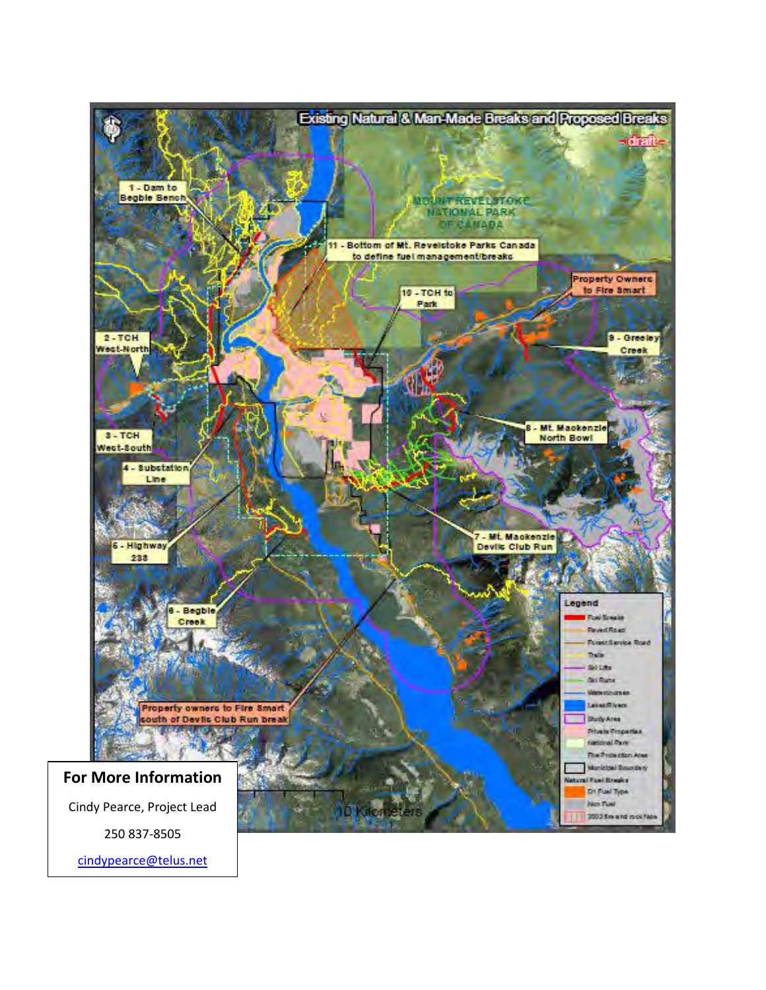

[cindypearce@telus.net](mailto:cindypearce@telus.net)